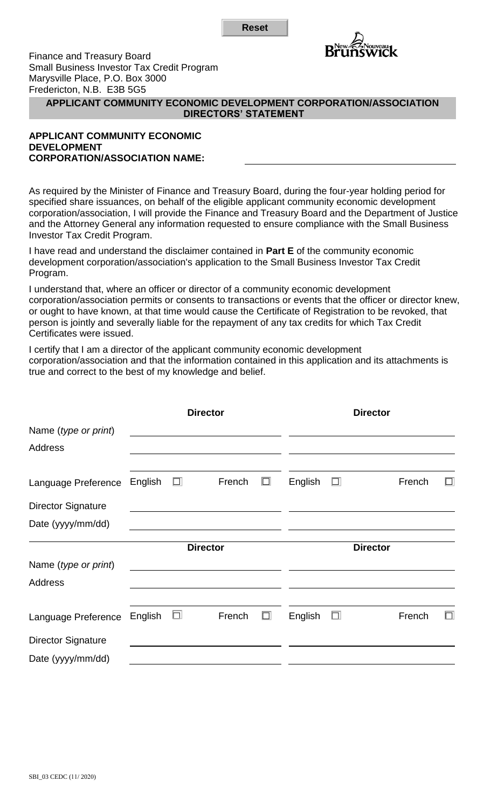**Reset**



Finance and Treasury Board Small Business Investor Tax Credit Program Marysville Place, P.O. Box 3000 Fredericton, N.B. E3B 5G5

## **APPLICANT COMMUNITY ECONOMIC DEVELOPMENT CORPORATION/ASSOCIATION DIRECTORS' STATEMENT**

## **APPLICANT COMMUNITY ECONOMIC DEVELOPMENT CORPORATION/ASSOCIATION NAME:**

As required by the Minister of Finance and Treasury Board, during the four-year holding period for specified share issuances, on behalf of the eligible applicant community economic development corporation/association, I will provide the Finance and Treasury Board and the Department of Justice and the Attorney General any information requested to ensure compliance with the Small Business Investor Tax Credit Program.

I have read and understand the disclaimer contained in **Part E** of the community economic development corporation/association's application to the Small Business Investor Tax Credit Program.

I understand that, where an officer or director of a community economic development corporation/association permits or consents to transactions or events that the officer or director knew, or ought to have known, at that time would cause the Certificate of Registration to be revoked, that person is jointly and severally liable for the repayment of any tax credits for which Tax Credit Certificates were issued.

I certify that I am a director of the applicant community economic development corporation/association and that the information contained in this application and its attachments is true and correct to the best of my knowledge and belief.

|                           | <b>Director</b> |        |        |        | <b>Director</b> |        |        |        |
|---------------------------|-----------------|--------|--------|--------|-----------------|--------|--------|--------|
| Name (type or print)      |                 |        |        |        |                 |        |        |        |
| Address                   |                 |        |        |        |                 |        |        |        |
| Language Preference       | English         | $\Box$ | French | $\Box$ | English         | $\Box$ | French | □      |
| <b>Director Signature</b> |                 |        |        |        |                 |        |        |        |
| Date (yyyy/mm/dd)         |                 |        |        |        |                 |        |        |        |
|                           | <b>Director</b> |        |        |        | <b>Director</b> |        |        |        |
|                           |                 |        |        |        |                 |        |        |        |
| Name (type or print)      |                 |        |        |        |                 |        |        |        |
| <b>Address</b>            |                 |        |        |        |                 |        |        |        |
| Language Preference       | English         | o,     | French | $\Box$ | English         | $\Box$ | French | $\Box$ |
| <b>Director Signature</b> |                 |        |        |        |                 |        |        |        |